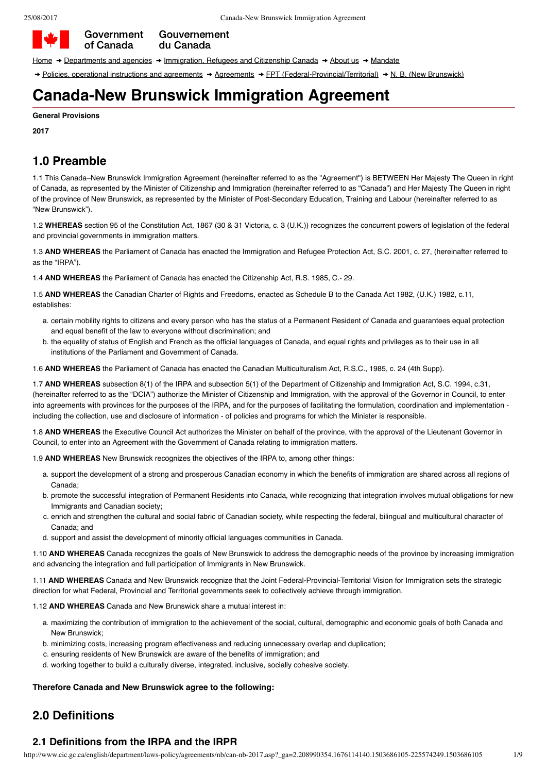

[Home](http://www.canada.ca/en/index.html)  $\rightarrow$  [Departments and agencies](http://canada.ca/en/gov/dept/index.html)  $\rightarrow$  [Immigration, Refugees and Citizenship Canada](http://www.cic.gc.ca/english/department/index.asp)  $\rightarrow$  [About us](http://www.cic.gc.ca/english/department/index.asp)  $\rightarrow$  [Mandate](http://www.cic.gc.ca/english/department/mission.asp)

Gouvernement

du Canada

→ [Policies, operational instructions and agreements](http://www.cic.gc.ca/english/department/laws-policy/index.asp) → [Agreements](http://www.cic.gc.ca/english/department/laws-policy/agree.asp) → [FPT \(Federal-Provincial/Territorial\)](http://www.cic.gc.ca/english/department/laws-policy/agreements/index.asp) → [N. B. \(New Brunswick\)](http://www.cic.gc.ca/english/department/laws-policy/agreements/nb/index-nb.asp)

# **Canada-New Brunswick Immigration Agreement**

#### **General Provisions**

**2017**

## **1.0 Preamble**

1.1 This Canada–New Brunswick Immigration Agreement (hereinafter referred to as the "Agreement") is BETWEEN Her Majesty The Queen in right of Canada, as represented by the Minister of Citizenship and Immigration (hereinafter referred to as "Canada") and Her Majesty The Queen in right of the province of New Brunswick, as represented by the Minister of Post-Secondary Education, Training and Labour (hereinafter referred to as "New Brunswick").

1.2 **WHEREAS** section 95 of the Constitution Act, 1867 (30 & 31 Victoria, c. 3 (U.K.)) recognizes the concurrent powers of legislation of the federal and provincial governments in immigration matters.

1.3 **AND WHEREAS** the Parliament of Canada has enacted the Immigration and Refugee Protection Act, S.C. 2001, c. 27, (hereinafter referred to as the "IRPA").

1.4 **AND WHEREAS** the Parliament of Canada has enacted the Citizenship Act, R.S. 1985, C.- 29.

1.5 **AND WHEREAS** the Canadian Charter of Rights and Freedoms, enacted as Schedule B to the Canada Act 1982, (U.K.) 1982, c.11, establishes:

- a. certain mobility rights to citizens and every person who has the status of a Permanent Resident of Canada and guarantees equal protection and equal benefit of the law to everyone without discrimination; and
- b. the equality of status of English and French as the official languages of Canada, and equal rights and privileges as to their use in all institutions of the Parliament and Government of Canada.

1.6 **AND WHEREAS** the Parliament of Canada has enacted the Canadian Multiculturalism Act, R.S.C., 1985, c. 24 (4th Supp).

1.7 **AND WHEREAS** subsection 8(1) of the IRPA and subsection 5(1) of the Department of Citizenship and Immigration Act, S.C. 1994, c.31, (hereinafter referred to as the "DCIA") authorize the Minister of Citizenship and Immigration, with the approval of the Governor in Council, to enter into agreements with provinces for the purposes of the IRPA, and for the purposes of facilitating the formulation, coordination and implementation including the collection, use and disclosure of information - of policies and programs for which the Minister is responsible.

1.8 **AND WHEREAS** the Executive Council Act authorizes the Minister on behalf of the province, with the approval of the Lieutenant Governor in Council, to enter into an Agreement with the Government of Canada relating to immigration matters.

1.9 **AND WHEREAS** New Brunswick recognizes the objectives of the IRPA to, among other things:

- a. support the development of a strong and prosperous Canadian economy in which the benefits of immigration are shared across all regions of Canada;
- b. promote the successful integration of Permanent Residents into Canada, while recognizing that integration involves mutual obligations for new Immigrants and Canadian society;
- c. enrich and strengthen the cultural and social fabric of Canadian society, while respecting the federal, bilingual and multicultural character of Canada; and
- d. support and assist the development of minority official languages communities in Canada.

1.10 **AND WHEREAS** Canada recognizes the goals of New Brunswick to address the demographic needs of the province by increasing immigration and advancing the integration and full participation of Immigrants in New Brunswick.

1.11 **AND WHEREAS** Canada and New Brunswick recognize that the Joint Federal-Provincial-Territorial Vision for Immigration sets the strategic direction for what Federal, Provincial and Territorial governments seek to collectively achieve through immigration.

1.12 **AND WHEREAS** Canada and New Brunswick share a mutual interest in:

- a. maximizing the contribution of immigration to the achievement of the social, cultural, demographic and economic goals of both Canada and New Brunswick;
- b. minimizing costs, increasing program effectiveness and reducing unnecessary overlap and duplication;
- c. ensuring residents of New Brunswick are aware of the benefits of immigration; and
- d. working together to build a culturally diverse, integrated, inclusive, socially cohesive society.

### **Therefore Canada and New Brunswick agree to the following:**

## **2.0 Definitions**

### **2.1 Definitions from the IRPA and the IRPR**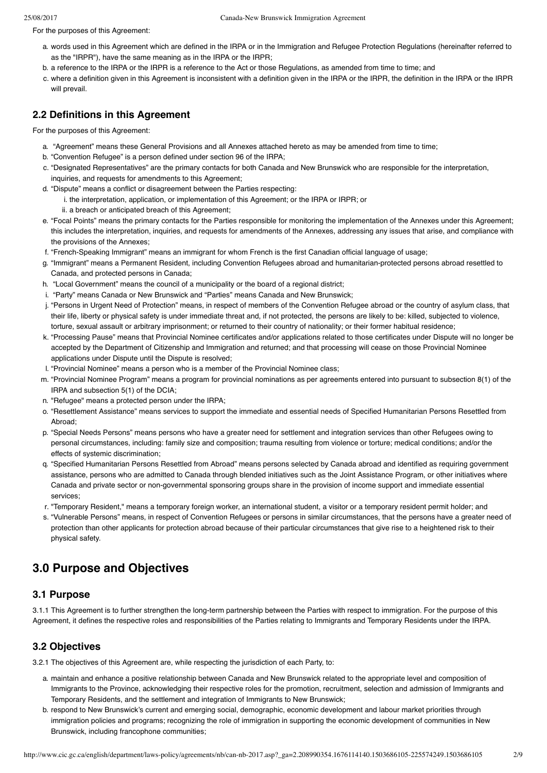For the purposes of this Agreement:

- a. words used in this Agreement which are defined in the IRPA or in the Immigration and Refugee Protection Regulations (hereinafter referred to as the "IRPR"), have the same meaning as in the IRPA or the IRPR;
- b. a reference to the IRPA or the IRPR is a reference to the Act or those Regulations, as amended from time to time; and
- c. where a definition given in this Agreement is inconsistent with a definition given in the IRPA or the IRPR, the definition in the IRPA or the IRPR will prevail.

## **2.2 Definitions in this Agreement**

For the purposes of this Agreement:

- a. "Agreement" means these General Provisions and all Annexes attached hereto as may be amended from time to time;
- b. "Convention Refugee" is a person defined under section 96 of the IRPA;
- c. "Designated Representatives" are the primary contacts for both Canada and New Brunswick who are responsible for the interpretation, inquiries, and requests for amendments to this Agreement;
- d. "Dispute" means a conflict or disagreement between the Parties respecting:
	- i. the interpretation, application, or implementation of this Agreement; or the IRPA or IRPR; or ii. a breach or anticipated breach of this Agreement;
- e. "Focal Points" means the primary contacts for the Parties responsible for monitoring the implementation of the Annexes under this Agreement; this includes the interpretation, inquiries, and requests for amendments of the Annexes, addressing any issues that arise, and compliance with the provisions of the Annexes;
- f. "French-Speaking Immigrant" means an immigrant for whom French is the first Canadian official language of usage;
- g. "Immigrant" means a Permanent Resident, including Convention Refugees abroad and humanitarian-protected persons abroad resettled to Canada, and protected persons in Canada;
- h. "Local Government" means the council of a municipality or the board of a regional district;
- i. "Party" means Canada or New Brunswick and "Parties" means Canada and New Brunswick;
- j. "Persons in Urgent Need of Protection" means, in respect of members of the Convention Refugee abroad or the country of asylum class, that their life, liberty or physical safety is under immediate threat and, if not protected, the persons are likely to be: killed, subjected to violence, torture, sexual assault or arbitrary imprisonment; or returned to their country of nationality; or their former habitual residence;
- k. "Processing Pause" means that Provincial Nominee certificates and/or applications related to those certificates under Dispute will no longer be accepted by the Department of Citizenship and Immigration and returned; and that processing will cease on those Provincial Nominee applications under Dispute until the Dispute is resolved;
- l. "Provincial Nominee" means a person who is a member of the Provincial Nominee class;
- m. "Provincial Nominee Program" means a program for provincial nominations as per agreements entered into pursuant to subsection 8(1) of the
- IRPA and subsection 5(1) of the DCIA; n. "Refugee" means a protected person under the IRPA;
- o. "Resettlement Assistance" means services to support the immediate and essential needs of Specified Humanitarian Persons Resettled from Abroad;
- p. "Special Needs Persons" means persons who have a greater need for settlement and integration services than other Refugees owing to personal circumstances, including: family size and composition; trauma resulting from violence or torture; medical conditions; and/or the effects of systemic discrimination;
- q. "Specified Humanitarian Persons Resettled from Abroad" means persons selected by Canada abroad and identified as requiring government assistance, persons who are admitted to Canada through blended initiatives such as the Joint Assistance Program, or other initiatives where Canada and private sector or non-governmental sponsoring groups share in the provision of income support and immediate essential services;
- r. "Temporary Resident," means a temporary foreign worker, an international student, a visitor or a temporary resident permit holder; and
- s. "Vulnerable Persons" means, in respect of Convention Refugees or persons in similar circumstances, that the persons have a greater need of protection than other applicants for protection abroad because of their particular circumstances that give rise to a heightened risk to their physical safety.

## **3.0 Purpose and Objectives**

## **3.1 Purpose**

3.1.1 This Agreement is to further strengthen the long-term partnership between the Parties with respect to immigration. For the purpose of this Agreement, it defines the respective roles and responsibilities of the Parties relating to Immigrants and Temporary Residents under the IRPA.

## **3.2 Objectives**

3.2.1 The objectives of this Agreement are, while respecting the jurisdiction of each Party, to:

- a. maintain and enhance a positive relationship between Canada and New Brunswick related to the appropriate level and composition of Immigrants to the Province, acknowledging their respective roles for the promotion, recruitment, selection and admission of Immigrants and Temporary Residents, and the settlement and integration of Immigrants to New Brunswick;
- b. respond to New Brunswick's current and emerging social, demographic, economic development and labour market priorities through immigration policies and programs; recognizing the role of immigration in supporting the economic development of communities in New Brunswick, including francophone communities;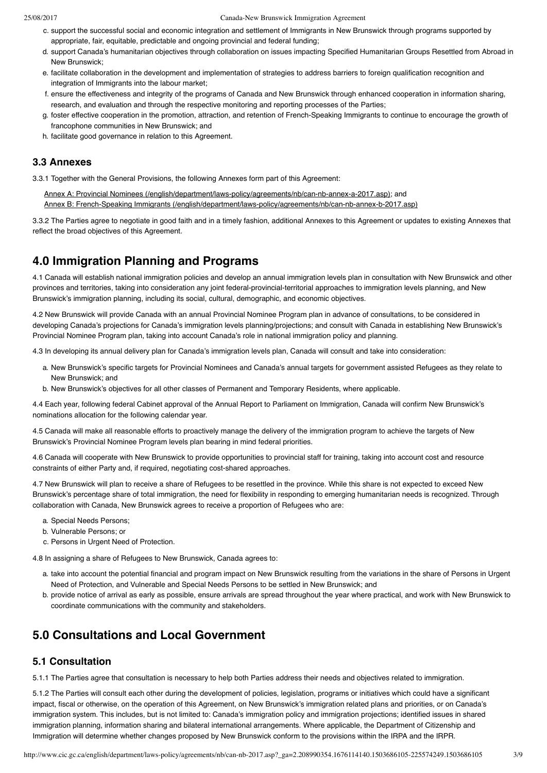- c. support the successful social and economic integration and settlement of Immigrants in New Brunswick through programs supported by appropriate, fair, equitable, predictable and ongoing provincial and federal funding;
- d. support Canada's humanitarian objectives through collaboration on issues impacting Specified Humanitarian Groups Resettled from Abroad in New Brunswick;
- e. facilitate collaboration in the development and implementation of strategies to address barriers to foreign qualification recognition and integration of Immigrants into the labour market;
- f. ensure the effectiveness and integrity of the programs of Canada and New Brunswick through enhanced cooperation in information sharing, research, and evaluation and through the respective monitoring and reporting processes of the Parties;
- g. foster effective cooperation in the promotion, attraction, and retention of French-Speaking Immigrants to continue to encourage the growth of francophone communities in New Brunswick; and
- h. facilitate good governance in relation to this Agreement.

### **3.3 Annexes**

3.3.1 Together with the General Provisions, the following Annexes form part of this Agreement:

[Annex A: Provincial Nominees \(/english/department/laws-policy/agreements/nb/can-nb-annex-a-2017.asp\);](http://www.cic.gc.ca/english/department/laws-policy/agreements/nb/can-nb-annex-a-2017.asp) and [Annex B: French-Speaking Immigrants \(/english/department/laws-policy/agreements/nb/can-nb-annex-b-2017.asp\)](http://www.cic.gc.ca/english/department/laws-policy/agreements/nb/can-nb-annex-b-2017.asp)

3.3.2 The Parties agree to negotiate in good faith and in a timely fashion, additional Annexes to this Agreement or updates to existing Annexes that reflect the broad objectives of this Agreement.

## **4.0 Immigration Planning and Programs**

4.1 Canada will establish national immigration policies and develop an annual immigration levels plan in consultation with New Brunswick and other provinces and territories, taking into consideration any joint federal-provincial-territorial approaches to immigration levels planning, and New Brunswick's immigration planning, including its social, cultural, demographic, and economic objectives.

4.2 New Brunswick will provide Canada with an annual Provincial Nominee Program plan in advance of consultations, to be considered in developing Canada's projections for Canada's immigration levels planning/projections; and consult with Canada in establishing New Brunswick's Provincial Nominee Program plan, taking into account Canada's role in national immigration policy and planning.

4.3 In developing its annual delivery plan for Canada's immigration levels plan, Canada will consult and take into consideration:

- a. New Brunswick's specific targets for Provincial Nominees and Canada's annual targets for government assisted Refugees as they relate to New Brunswick; and
- b. New Brunswick's objectives for all other classes of Permanent and Temporary Residents, where applicable.

4.4 Each year, following federal Cabinet approval of the Annual Report to Parliament on Immigration, Canada will confirm New Brunswick's nominations allocation for the following calendar year.

4.5 Canada will make all reasonable efforts to proactively manage the delivery of the immigration program to achieve the targets of New Brunswick's Provincial Nominee Program levels plan bearing in mind federal priorities.

4.6 Canada will cooperate with New Brunswick to provide opportunities to provincial staff for training, taking into account cost and resource constraints of either Party and, if required, negotiating cost-shared approaches.

4.7 New Brunswick will plan to receive a share of Refugees to be resettled in the province. While this share is not expected to exceed New Brunswick's percentage share of total immigration, the need for flexibility in responding to emerging humanitarian needs is recognized. Through collaboration with Canada, New Brunswick agrees to receive a proportion of Refugees who are:

- a. Special Needs Persons;
- b. Vulnerable Persons; or
- c. Persons in Urgent Need of Protection.

4.8 In assigning a share of Refugees to New Brunswick, Canada agrees to:

- a. take into account the potential financial and program impact on New Brunswick resulting from the variations in the share of Persons in Urgent Need of Protection, and Vulnerable and Special Needs Persons to be settled in New Brunswick; and
- b. provide notice of arrival as early as possible, ensure arrivals are spread throughout the year where practical, and work with New Brunswick to coordinate communications with the community and stakeholders.

## **5.0 Consultations and Local Government**

### **5.1 Consultation**

5.1.1 The Parties agree that consultation is necessary to help both Parties address their needs and objectives related to immigration.

5.1.2 The Parties will consult each other during the development of policies, legislation, programs or initiatives which could have a significant impact, fiscal or otherwise, on the operation of this Agreement, on New Brunswick's immigration related plans and priorities, or on Canada's immigration system. This includes, but is not limited to: Canada's immigration policy and immigration projections; identified issues in shared immigration planning, information sharing and bilateral international arrangements. Where applicable, the Department of Citizenship and Immigration will determine whether changes proposed by New Brunswick conform to the provisions within the IRPA and the IRPR.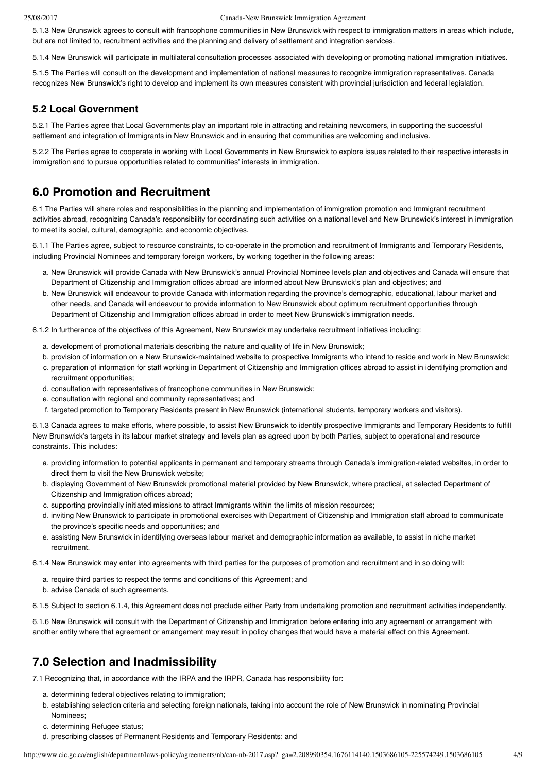5.1.3 New Brunswick agrees to consult with francophone communities in New Brunswick with respect to immigration matters in areas which include, but are not limited to, recruitment activities and the planning and delivery of settlement and integration services.

5.1.4 New Brunswick will participate in multilateral consultation processes associated with developing or promoting national immigration initiatives.

5.1.5 The Parties will consult on the development and implementation of national measures to recognize immigration representatives. Canada recognizes New Brunswick's right to develop and implement its own measures consistent with provincial jurisdiction and federal legislation.

### **5.2 Local Government**

5.2.1 The Parties agree that Local Governments play an important role in attracting and retaining newcomers, in supporting the successful settlement and integration of Immigrants in New Brunswick and in ensuring that communities are welcoming and inclusive.

5.2.2 The Parties agree to cooperate in working with Local Governments in New Brunswick to explore issues related to their respective interests in immigration and to pursue opportunities related to communities' interests in immigration.

## **6.0 Promotion and Recruitment**

6.1 The Parties will share roles and responsibilities in the planning and implementation of immigration promotion and Immigrant recruitment activities abroad, recognizing Canada's responsibility for coordinating such activities on a national level and New Brunswick's interest in immigration to meet its social, cultural, demographic, and economic objectives.

6.1.1 The Parties agree, subject to resource constraints, to co-operate in the promotion and recruitment of Immigrants and Temporary Residents, including Provincial Nominees and temporary foreign workers, by working together in the following areas:

- a. New Brunswick will provide Canada with New Brunswick's annual Provincial Nominee levels plan and objectives and Canada will ensure that Department of Citizenship and Immigration offices abroad are informed about New Brunswick's plan and objectives; and
- b. New Brunswick will endeavour to provide Canada with information regarding the province's demographic, educational, labour market and other needs, and Canada will endeavour to provide information to New Brunswick about optimum recruitment opportunities through Department of Citizenship and Immigration offices abroad in order to meet New Brunswick's immigration needs.

6.1.2 In furtherance of the objectives of this Agreement, New Brunswick may undertake recruitment initiatives including:

- a. development of promotional materials describing the nature and quality of life in New Brunswick;
- b. provision of information on a New Brunswick-maintained website to prospective Immigrants who intend to reside and work in New Brunswick;
- c. preparation of information for staff working in Department of Citizenship and Immigration offices abroad to assist in identifying promotion and recruitment opportunities;
- d. consultation with representatives of francophone communities in New Brunswick;
- e. consultation with regional and community representatives; and
- f. targeted promotion to Temporary Residents present in New Brunswick (international students, temporary workers and visitors).

6.1.3 Canada agrees to make efforts, where possible, to assist New Brunswick to identify prospective Immigrants and Temporary Residents to fulfill New Brunswick's targets in its labour market strategy and levels plan as agreed upon by both Parties, subject to operational and resource constraints. This includes:

- a. providing information to potential applicants in permanent and temporary streams through Canada's immigration-related websites, in order to direct them to visit the New Brunswick website;
- b. displaying Government of New Brunswick promotional material provided by New Brunswick, where practical, at selected Department of Citizenship and Immigration offices abroad;
- c. supporting provincially initiated missions to attract Immigrants within the limits of mission resources;
- d. inviting New Brunswick to participate in promotional exercises with Department of Citizenship and Immigration staff abroad to communicate the province's specific needs and opportunities; and
- e. assisting New Brunswick in identifying overseas labour market and demographic information as available, to assist in niche market recruitment.

6.1.4 New Brunswick may enter into agreements with third parties for the purposes of promotion and recruitment and in so doing will:

- a. require third parties to respect the terms and conditions of this Agreement; and
- b. advise Canada of such agreements.
- 6.1.5 Subject to section 6.1.4, this Agreement does not preclude either Party from undertaking promotion and recruitment activities independently.

6.1.6 New Brunswick will consult with the Department of Citizenship and Immigration before entering into any agreement or arrangement with another entity where that agreement or arrangement may result in policy changes that would have a material effect on this Agreement.

## **7.0 Selection and Inadmissibility**

7.1 Recognizing that, in accordance with the IRPA and the IRPR, Canada has responsibility for:

- a. determining federal objectives relating to immigration;
- b. establishing selection criteria and selecting foreign nationals, taking into account the role of New Brunswick in nominating Provincial Nominees;
- c. determining Refugee status;
- d. prescribing classes of Permanent Residents and Temporary Residents; and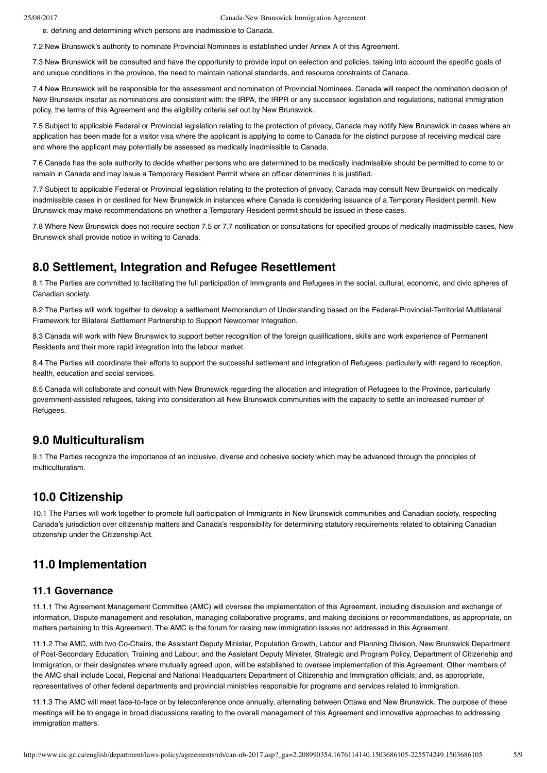e. defining and determining which persons are inadmissible to Canada.

7.2 New Brunswick's authority to nominate Provincial Nominees is established under Annex A of this Agreement.

7.3 New Brunswick will be consulted and have the opportunity to provide input on selection and policies, taking into account the specific goals of and unique conditions in the province, the need to maintain national standards, and resource constraints of Canada.

7.4 New Brunswick will be responsible for the assessment and nomination of Provincial Nominees. Canada will respect the nomination decision of New Brunswick insofar as nominations are consistent with: the IRPA, the IRPR or any successor legislation and regulations, national immigration policy, the terms of this Agreement and the eligibility criteria set out by New Brunswick.

7.5 Subject to applicable Federal or Provincial legislation relating to the protection of privacy, Canada may notify New Brunswick in cases where an application has been made for a visitor visa where the applicant is applying to come to Canada for the distinct purpose of receiving medical care and where the applicant may potentially be assessed as medically inadmissible to Canada.

7.6 Canada has the sole authority to decide whether persons who are determined to be medically inadmissible should be permitted to come to or remain in Canada and may issue a Temporary Resident Permit where an officer determines it is justified.

7.7 Subject to applicable Federal or Provincial legislation relating to the protection of privacy, Canada may consult New Brunswick on medically inadmissible cases in or destined for New Brunswick in instances where Canada is considering issuance of a Temporary Resident permit. New Brunswick may make recommendations on whether a Temporary Resident permit should be issued in these cases.

7.8 Where New Brunswick does not require section 7.5 or 7.7 notification or consultations for specified groups of medically inadmissible cases, New Brunswick shall provide notice in writing to Canada.

## **8.0 Settlement, Integration and Refugee Resettlement**

8.1 The Parties are committed to facilitating the full participation of Immigrants and Refugees in the social, cultural, economic, and civic spheres of Canadian society.

8.2 The Parties will work together to develop a settlement Memorandum of Understanding based on the Federal-Provincial-Territorial Multilateral Framework for Bilateral Settlement Partnership to Support Newcomer Integration.

8.3 Canada will work with New Brunswick to support better recognition of the foreign qualifications, skills and work experience of Permanent Residents and their more rapid integration into the labour market.

8.4 The Parties will coordinate their efforts to support the successful settlement and integration of Refugees, particularly with regard to reception, health, education and social services.

8.5 Canada will collaborate and consult with New Brunswick regarding the allocation and integration of Refugees to the Province, particularly government-assisted refugees, taking into consideration all New Brunswick communities with the capacity to settle an increased number of Refugees.

## **9.0 Multiculturalism**

9.1 The Parties recognize the importance of an inclusive, diverse and cohesive society which may be advanced through the principles of multiculturalism.

## **10.0 Citizenship**

10.1 The Parties will work together to promote full participation of Immigrants in New Brunswick communities and Canadian society, respecting Canada's jurisdiction over citizenship matters and Canada's responsibility for determining statutory requirements related to obtaining Canadian citizenship under the Citizenship Act.

## **11.0 Implementation**

### **11.1 Governance**

11.1.1 The Agreement Management Committee (AMC) will oversee the implementation of this Agreement, including discussion and exchange of information, Dispute management and resolution, managing collaborative programs, and making decisions or recommendations, as appropriate, on matters pertaining to this Agreement. The AMC is the forum for raising new immigration issues not addressed in this Agreement.

11.1.2 The AMC, with two Co-Chairs, the Assistant Deputy Minister, Population Growth, Labour and Planning Division, New Brunswick Department of Post-Secondary Education, Training and Labour, and the Assistant Deputy Minister, Strategic and Program Policy, Department of Citizenship and Immigration, or their designates where mutually agreed upon, will be established to oversee implementation of this Agreement. Other members of the AMC shall include Local, Regional and National Headquarters Department of Citizenship and Immigration officials; and, as appropriate, representatives of other federal departments and provincial ministries responsible for programs and services related to immigration.

11.1.3 The AMC will meet face-to-face or by teleconference once annually, alternating between Ottawa and New Brunswick. The purpose of these meetings will be to engage in broad discussions relating to the overall management of this Agreement and innovative approaches to addressing immigration matters.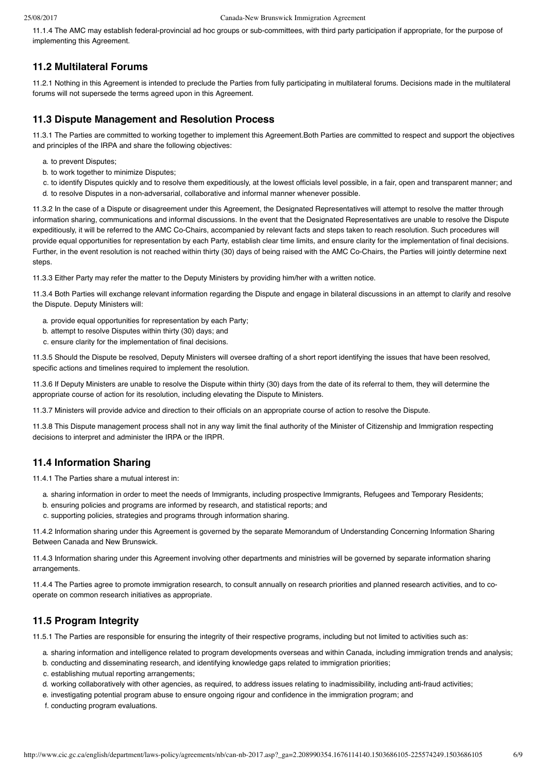11.1.4 The AMC may establish federal-provincial ad hoc groups or sub-committees, with third party participation if appropriate, for the purpose of implementing this Agreement.

### **11.2 Multilateral Forums**

11.2.1 Nothing in this Agreement is intended to preclude the Parties from fully participating in multilateral forums. Decisions made in the multilateral forums will not supersede the terms agreed upon in this Agreement.

### **11.3 Dispute Management and Resolution Process**

11.3.1 The Parties are committed to working together to implement this Agreement.Both Parties are committed to respect and support the objectives and principles of the IRPA and share the following objectives:

- a. to prevent Disputes;
- b. to work together to minimize Disputes;
- c. to identify Disputes quickly and to resolve them expeditiously, at the lowest officials level possible, in a fair, open and transparent manner; and d. to resolve Disputes in a non-adversarial, collaborative and informal manner whenever possible.

11.3.2 In the case of a Dispute or disagreement under this Agreement, the Designated Representatives will attempt to resolve the matter through information sharing, communications and informal discussions. In the event that the Designated Representatives are unable to resolve the Dispute expeditiously, it will be referred to the AMC Co-Chairs, accompanied by relevant facts and steps taken to reach resolution. Such procedures will provide equal opportunities for representation by each Party, establish clear time limits, and ensure clarity for the implementation of final decisions. Further, in the event resolution is not reached within thirty (30) days of being raised with the AMC Co-Chairs, the Parties will jointly determine next steps.

11.3.3 Either Party may refer the matter to the Deputy Ministers by providing him/her with a written notice.

11.3.4 Both Parties will exchange relevant information regarding the Dispute and engage in bilateral discussions in an attempt to clarify and resolve the Dispute. Deputy Ministers will:

- a. provide equal opportunities for representation by each Party;
- b. attempt to resolve Disputes within thirty (30) days; and
- c. ensure clarity for the implementation of final decisions.

11.3.5 Should the Dispute be resolved, Deputy Ministers will oversee drafting of a short report identifying the issues that have been resolved, specific actions and timelines required to implement the resolution.

11.3.6 If Deputy Ministers are unable to resolve the Dispute within thirty (30) days from the date of its referral to them, they will determine the appropriate course of action for its resolution, including elevating the Dispute to Ministers.

11.3.7 Ministers will provide advice and direction to their officials on an appropriate course of action to resolve the Dispute.

11.3.8 This Dispute management process shall not in any way limit the final authority of the Minister of Citizenship and Immigration respecting decisions to interpret and administer the IRPA or the IRPR.

### **11.4 Information Sharing**

11.4.1 The Parties share a mutual interest in:

- a. sharing information in order to meet the needs of Immigrants, including prospective Immigrants, Refugees and Temporary Residents;
- b. ensuring policies and programs are informed by research, and statistical reports; and
- c. supporting policies, strategies and programs through information sharing.

11.4.2 Information sharing under this Agreement is governed by the separate Memorandum of Understanding Concerning Information Sharing Between Canada and New Brunswick.

11.4.3 Information sharing under this Agreement involving other departments and ministries will be governed by separate information sharing arrangements.

11.4.4 The Parties agree to promote immigration research, to consult annually on research priorities and planned research activities, and to cooperate on common research initiatives as appropriate.

### **11.5 Program Integrity**

11.5.1 The Parties are responsible for ensuring the integrity of their respective programs, including but not limited to activities such as:

- a. sharing information and intelligence related to program developments overseas and within Canada, including immigration trends and analysis;
- b. conducting and disseminating research, and identifying knowledge gaps related to immigration priorities;
- c. establishing mutual reporting arrangements;
- d. working collaboratively with other agencies, as required, to address issues relating to inadmissibility, including anti-fraud activities;
- e. investigating potential program abuse to ensure ongoing rigour and confidence in the immigration program; and
- f. conducting program evaluations.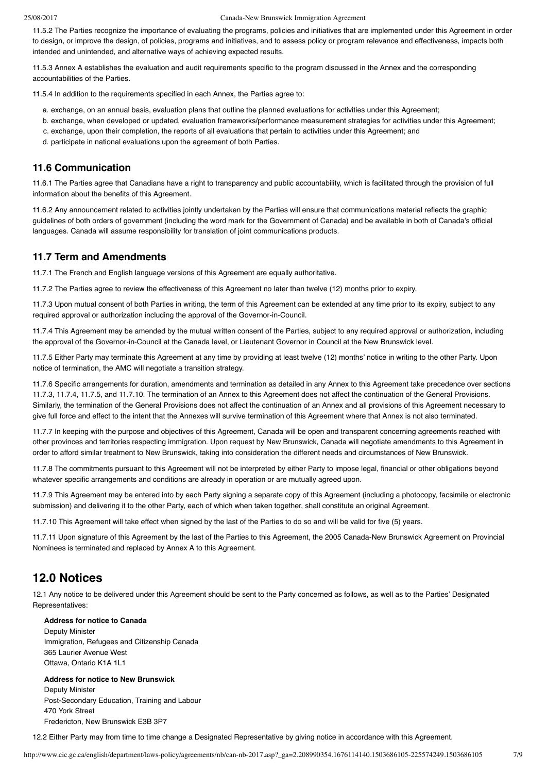11.5.2 The Parties recognize the importance of evaluating the programs, policies and initiatives that are implemented under this Agreement in order to design, or improve the design, of policies, programs and initiatives, and to assess policy or program relevance and effectiveness, impacts both intended and unintended, and alternative ways of achieving expected results.

11.5.3 Annex A establishes the evaluation and audit requirements specific to the program discussed in the Annex and the corresponding accountabilities of the Parties.

11.5.4 In addition to the requirements specified in each Annex, the Parties agree to:

- a. exchange, on an annual basis, evaluation plans that outline the planned evaluations for activities under this Agreement;
- b. exchange, when developed or updated, evaluation frameworks/performance measurement strategies for activities under this Agreement;
- c. exchange, upon their completion, the reports of all evaluations that pertain to activities under this Agreement; and
- d. participate in national evaluations upon the agreement of both Parties.

### **11.6 Communication**

11.6.1 The Parties agree that Canadians have a right to transparency and public accountability, which is facilitated through the provision of full information about the benefits of this Agreement.

11.6.2 Any announcement related to activities jointly undertaken by the Parties will ensure that communications material reflects the graphic guidelines of both orders of government (including the word mark for the Government of Canada) and be available in both of Canada's official languages. Canada will assume responsibility for translation of joint communications products.

### **11.7 Term and Amendments**

11.7.1 The French and English language versions of this Agreement are equally authoritative.

11.7.2 The Parties agree to review the effectiveness of this Agreement no later than twelve (12) months prior to expiry.

11.7.3 Upon mutual consent of both Parties in writing, the term of this Agreement can be extended at any time prior to its expiry, subject to any required approval or authorization including the approval of the Governor-in-Council.

11.7.4 This Agreement may be amended by the mutual written consent of the Parties, subject to any required approval or authorization, including the approval of the Governor-in-Council at the Canada level, or Lieutenant Governor in Council at the New Brunswick level.

11.7.5 Either Party may terminate this Agreement at any time by providing at least twelve (12) months' notice in writing to the other Party. Upon notice of termination, the AMC will negotiate a transition strategy.

11.7.6 Specific arrangements for duration, amendments and termination as detailed in any Annex to this Agreement take precedence over sections 11.7.3, 11.7.4, 11.7.5, and 11.7.10. The termination of an Annex to this Agreement does not affect the continuation of the General Provisions. Similarly, the termination of the General Provisions does not affect the continuation of an Annex and all provisions of this Agreement necessary to give full force and effect to the intent that the Annexes will survive termination of this Agreement where that Annex is not also terminated.

11.7.7 In keeping with the purpose and objectives of this Agreement, Canada will be open and transparent concerning agreements reached with other provinces and territories respecting immigration. Upon request by New Brunswick, Canada will negotiate amendments to this Agreement in order to afford similar treatment to New Brunswick, taking into consideration the different needs and circumstances of New Brunswick.

11.7.8 The commitments pursuant to this Agreement will not be interpreted by either Party to impose legal, financial or other obligations beyond whatever specific arrangements and conditions are already in operation or are mutually agreed upon.

11.7.9 This Agreement may be entered into by each Party signing a separate copy of this Agreement (including a photocopy, facsimile or electronic submission) and delivering it to the other Party, each of which when taken together, shall constitute an original Agreement.

11.7.10 This Agreement will take effect when signed by the last of the Parties to do so and will be valid for five (5) years.

11.7.11 Upon signature of this Agreement by the last of the Parties to this Agreement, the 2005 Canada-New Brunswick Agreement on Provincial Nominees is terminated and replaced by Annex A to this Agreement.

## **12.0 Notices**

12.1 Any notice to be delivered under this Agreement should be sent to the Party concerned as follows, as well as to the Parties' Designated Representatives:

### **Address for notice to Canada**

Deputy Minister Immigration, Refugees and Citizenship Canada 365 Laurier Avenue West Ottawa, Ontario K1A 1L1

#### **Address for notice to New Brunswick** Deputy Minister

Post-Secondary Education, Training and Labour 470 York Street Fredericton, New Brunswick E3B 3P7

12.2 Either Party may from time to time change a Designated Representative by giving notice in accordance with this Agreement.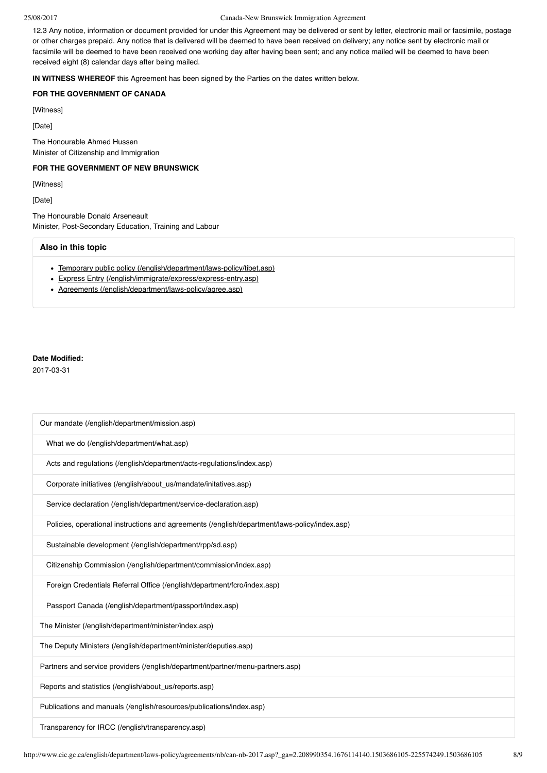12.3 Any notice, information or document provided for under this Agreement may be delivered or sent by letter, electronic mail or facsimile, postage or other charges prepaid. Any notice that is delivered will be deemed to have been received on delivery; any notice sent by electronic mail or facsimile will be deemed to have been received one working day after having been sent; and any notice mailed will be deemed to have been received eight (8) calendar days after being mailed.

**IN WITNESS WHEREOF** this Agreement has been signed by the Parties on the dates written below.

### **FOR THE GOVERNMENT OF CANADA**

[Witness]

[Date]

The Honourable Ahmed Hussen Minister of Citizenship and Immigration

### **FOR THE GOVERNMENT OF NEW BRUNSWICK**

[Witness]

[Date]

The Honourable Donald Arseneault Minister, Post-Secondary Education, Training and Labour

#### **Also in this topic**

- [Temporary public policy \(/english/department/laws-policy/tibet.asp\)](http://www.cic.gc.ca/english/department/laws-policy/tibet.asp)
- [Express Entry \(/english/immigrate/express/express-entry.asp\)](http://www.cic.gc.ca/english/immigrate/express/express-entry.asp)
- [Agreements \(/english/department/laws-policy/agree.asp\)](http://www.cic.gc.ca/english/department/laws-policy/agree.asp)

### **Date Modified:**

2017-03-31

| Our mandate (/english/department/mission.asp)                                                 |
|-----------------------------------------------------------------------------------------------|
| What we do (/english/department/what.asp)                                                     |
| Acts and regulations (/english/department/acts-regulations/index.asp)                         |
| Corporate initiatives (/english/about_us/mandate/initatives.asp)                              |
| Service declaration (/english/department/service-declaration.asp)                             |
| Policies, operational instructions and agreements (/english/department/laws-policy/index.asp) |
| Sustainable development (/english/department/rpp/sd.asp)                                      |
| Citizenship Commission (/english/department/commission/index.asp)                             |
| Foreign Credentials Referral Office (/english/department/fcro/index.asp)                      |
| Passport Canada (/english/department/passport/index.asp)                                      |
| The Minister (/english/department/minister/index.asp)                                         |
| The Deputy Ministers (/english/department/minister/deputies.asp)                              |
| Partners and service providers (/english/department/partner/menu-partners.asp)                |
| Reports and statistics (/english/about_us/reports.asp)                                        |
| Publications and manuals (/english/resources/publications/index.asp)                          |
| Transparency for IRCC (/english/transparency.asp)                                             |